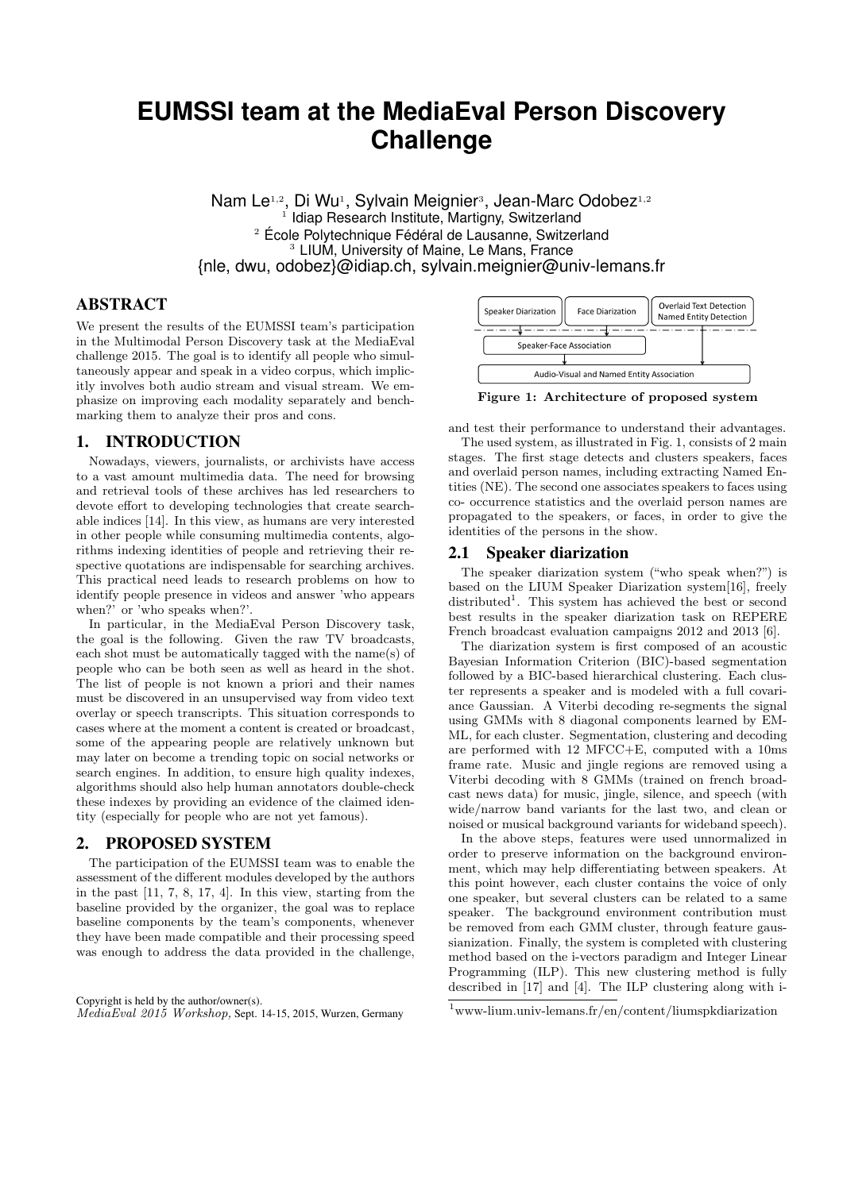# **EUMSSI team at the MediaEval Person Discovery Challenge**

Nam Le<sup>1,2</sup>, Di Wu<sup>1</sup>, Sylvain Meignier<sup>3</sup>, Jean-Marc Odobez<sup>1,2</sup> <sup>1</sup> Idiap Research Institute, Martigny, Switzerland <sup>2</sup> École Polytechnique Fédéral de Lausanne, Switzerland <sup>3</sup> LIUM, University of Maine, Le Mans, France {nle, dwu, odobez}@idiap.ch, sylvain.meignier@univ-lemans.fr

# ABSTRACT

We present the results of the EUMSSI team's participation in the Multimodal Person Discovery task at the MediaEval challenge 2015. The goal is to identify all people who simultaneously appear and speak in a video corpus, which implicitly involves both audio stream and visual stream. We emphasize on improving each modality separately and benchmarking them to analyze their pros and cons.

## 1. INTRODUCTION

Nowadays, viewers, journalists, or archivists have access to a vast amount multimedia data. The need for browsing and retrieval tools of these archives has led researchers to devote effort to developing technologies that create searchable indices [14]. In this view, as humans are very interested in other people while consuming multimedia contents, algorithms indexing identities of people and retrieving their respective quotations are indispensable for searching archives. This practical need leads to research problems on how to identify people presence in videos and answer 'who appears when?' or 'who speaks when?'.

In particular, in the MediaEval Person Discovery task, the goal is the following. Given the raw TV broadcasts, each shot must be automatically tagged with the name(s) of people who can be both seen as well as heard in the shot. The list of people is not known a priori and their names must be discovered in an unsupervised way from video text overlay or speech transcripts. This situation corresponds to cases where at the moment a content is created or broadcast, some of the appearing people are relatively unknown but may later on become a trending topic on social networks or search engines. In addition, to ensure high quality indexes, algorithms should also help human annotators double-check these indexes by providing an evidence of the claimed identity (especially for people who are not yet famous).

## 2. PROPOSED SYSTEM

The participation of the EUMSSI team was to enable the assessment of the different modules developed by the authors in the past [11, 7, 8, 17, 4]. In this view, starting from the baseline provided by the organizer, the goal was to replace baseline components by the team's components, whenever they have been made compatible and their processing speed was enough to address the data provided in the challenge,

Copyright is held by the author/owner(s). MediaEval 2015 Workshop, Sept. 14-15, 2015, Wurzen, Germany



Figure 1: Architecture of proposed system

and test their performance to understand their advantages. The used system, as illustrated in Fig. 1, consists of 2 main stages. The first stage detects and clusters speakers, faces and overlaid person names, including extracting Named Entities (NE). The second one associates speakers to faces using co- occurrence statistics and the overlaid person names are propagated to the speakers, or faces, in order to give the identities of the persons in the show.

#### 2.1 Speaker diarization

The speaker diarization system ("who speak when?") is based on the LIUM Speaker Diarization system[16], freely distributed<sup>1</sup>. This system has achieved the best or second best results in the speaker diarization task on REPERE French broadcast evaluation campaigns 2012 and 2013 [6].

The diarization system is first composed of an acoustic Bayesian Information Criterion (BIC)-based segmentation followed by a BIC-based hierarchical clustering. Each cluster represents a speaker and is modeled with a full covariance Gaussian. A Viterbi decoding re-segments the signal using GMMs with 8 diagonal components learned by EM-ML, for each cluster. Segmentation, clustering and decoding are performed with 12 MFCC+E, computed with a 10ms frame rate. Music and jingle regions are removed using a Viterbi decoding with 8 GMMs (trained on french broadcast news data) for music, jingle, silence, and speech (with wide/narrow band variants for the last two, and clean or noised or musical background variants for wideband speech).

In the above steps, features were used unnormalized in order to preserve information on the background environment, which may help differentiating between speakers. At this point however, each cluster contains the voice of only one speaker, but several clusters can be related to a same speaker. The background environment contribution must be removed from each GMM cluster, through feature gaussianization. Finally, the system is completed with clustering method based on the i-vectors paradigm and Integer Linear Programming (ILP). This new clustering method is fully described in [17] and [4]. The ILP clustering along with i-

<sup>1</sup>www-lium.univ-lemans.fr/en/content/liumspkdiarization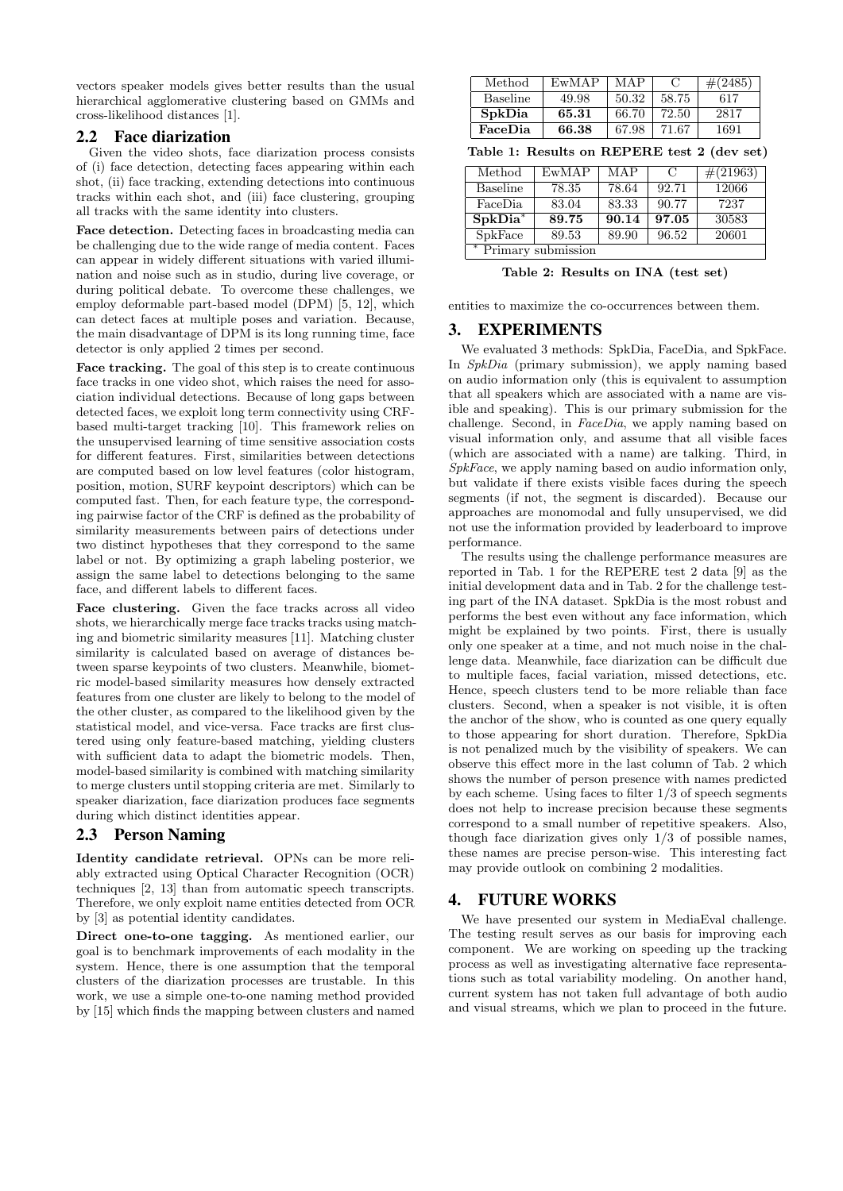vectors speaker models gives better results than the usual hierarchical agglomerative clustering based on GMMs and cross-likelihood distances [1].

# 2.2 Face diarization

Given the video shots, face diarization process consists of (i) face detection, detecting faces appearing within each shot, (ii) face tracking, extending detections into continuous tracks within each shot, and (iii) face clustering, grouping all tracks with the same identity into clusters.

Face detection. Detecting faces in broadcasting media can be challenging due to the wide range of media content. Faces can appear in widely different situations with varied illumination and noise such as in studio, during live coverage, or during political debate. To overcome these challenges, we employ deformable part-based model (DPM) [5, 12], which can detect faces at multiple poses and variation. Because, the main disadvantage of DPM is its long running time, face detector is only applied 2 times per second.

Face tracking. The goal of this step is to create continuous face tracks in one video shot, which raises the need for association individual detections. Because of long gaps between detected faces, we exploit long term connectivity using CRFbased multi-target tracking [10]. This framework relies on the unsupervised learning of time sensitive association costs for different features. First, similarities between detections are computed based on low level features (color histogram, position, motion, SURF keypoint descriptors) which can be computed fast. Then, for each feature type, the corresponding pairwise factor of the CRF is defined as the probability of similarity measurements between pairs of detections under two distinct hypotheses that they correspond to the same label or not. By optimizing a graph labeling posterior, we assign the same label to detections belonging to the same face, and different labels to different faces.

Face clustering. Given the face tracks across all video shots, we hierarchically merge face tracks tracks using matching and biometric similarity measures [11]. Matching cluster similarity is calculated based on average of distances between sparse keypoints of two clusters. Meanwhile, biometric model-based similarity measures how densely extracted features from one cluster are likely to belong to the model of the other cluster, as compared to the likelihood given by the statistical model, and vice-versa. Face tracks are first clustered using only feature-based matching, yielding clusters with sufficient data to adapt the biometric models. Then, model-based similarity is combined with matching similarity to merge clusters until stopping criteria are met. Similarly to speaker diarization, face diarization produces face segments during which distinct identities appear.

### 2.3 Person Naming

Identity candidate retrieval. OPNs can be more reliably extracted using Optical Character Recognition (OCR) techniques [2, 13] than from automatic speech transcripts. Therefore, we only exploit name entities detected from OCR by [3] as potential identity candidates.

Direct one-to-one tagging. As mentioned earlier, our goal is to benchmark improvements of each modality in the system. Hence, there is one assumption that the temporal clusters of the diarization processes are trustable. In this work, we use a simple one-to-one naming method provided by [15] which finds the mapping between clusters and named

| Method          | EwMAP | MAP   |       | $\#(2485)$ |
|-----------------|-------|-------|-------|------------|
| <b>Baseline</b> | 49.98 | 50.32 | 58.75 | 617        |
| SpkDia          | 65.31 | 66.70 | 72.50 | 2817       |
| FaceDia         | 66.38 | 67.98 | 71.67 | 1691       |

Table 1: Results on REPERE test 2 (dev set)

| Method               | EwMAP | MAP   | $\mathcal{C}$ | $\#(21963)$ |  |
|----------------------|-------|-------|---------------|-------------|--|
| <b>Baseline</b>      | 78.35 | 78.64 | 92.71         | 12066       |  |
| FaceDia              | 83.04 | 83.33 | 90.77         | 7237        |  |
| $SpkDia*$            | 89.75 | 90.14 | 97.05         | 30583       |  |
| SpkFace              | 89.53 | 89.90 | 96.52         | 20601       |  |
| * Primary submission |       |       |               |             |  |

Table 2: Results on INA (test set)

entities to maximize the co-occurrences between them.

#### 3. EXPERIMENTS

We evaluated 3 methods: SpkDia, FaceDia, and SpkFace. In SpkDia (primary submission), we apply naming based on audio information only (this is equivalent to assumption that all speakers which are associated with a name are visible and speaking). This is our primary submission for the challenge. Second, in FaceDia, we apply naming based on visual information only, and assume that all visible faces (which are associated with a name) are talking. Third, in SpkFace, we apply naming based on audio information only, but validate if there exists visible faces during the speech segments (if not, the segment is discarded). Because our approaches are monomodal and fully unsupervised, we did not use the information provided by leaderboard to improve performance.

The results using the challenge performance measures are reported in Tab. 1 for the REPERE test 2 data [9] as the initial development data and in Tab. 2 for the challenge testing part of the INA dataset. SpkDia is the most robust and performs the best even without any face information, which might be explained by two points. First, there is usually only one speaker at a time, and not much noise in the challenge data. Meanwhile, face diarization can be difficult due to multiple faces, facial variation, missed detections, etc. Hence, speech clusters tend to be more reliable than face clusters. Second, when a speaker is not visible, it is often the anchor of the show, who is counted as one query equally to those appearing for short duration. Therefore, SpkDia is not penalized much by the visibility of speakers. We can observe this effect more in the last column of Tab. 2 which shows the number of person presence with names predicted by each scheme. Using faces to filter 1/3 of speech segments does not help to increase precision because these segments correspond to a small number of repetitive speakers. Also, though face diarization gives only  $1/3$  of possible names, these names are precise person-wise. This interesting fact may provide outlook on combining 2 modalities.

### 4. FUTURE WORKS

We have presented our system in MediaEval challenge. The testing result serves as our basis for improving each component. We are working on speeding up the tracking process as well as investigating alternative face representations such as total variability modeling. On another hand, current system has not taken full advantage of both audio and visual streams, which we plan to proceed in the future.